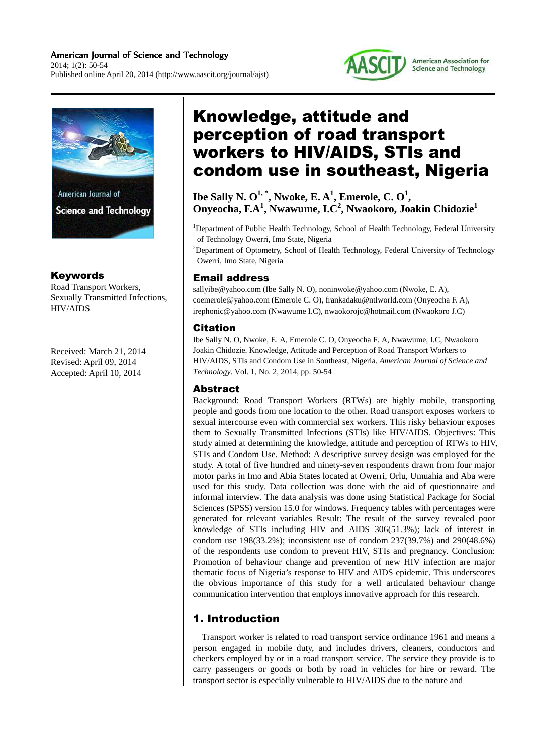#### American Journal of Science and Technology 2014; 1(2): 50-54 Published online April 20, 2014 (http://www.aascit.org/journal/ajst)





## Keywords

Road Transport Workers, Sexually Transmitted Infections, HIV/AIDS

Received: March 21, 2014 Revised: April 09, 2014 Accepted: April 10, 2014

# Knowledge, attitude and perception of road transport workers to HIV/AIDS, STIs and condom use in southeast, Nigeria

 $\mathbf{I}$ be Sally N.  $\mathbf{O}^{1, *}, \mathbf{N}$ woke, E.  $\mathbf{A}^{1}, \mathbf{E}$ merole, C.  $\mathbf{O}^{1}, \mathbf{O}^{2}$ **Onyeocha, F.A<sup>1</sup> , Nwawume, I.C<sup>2</sup> , Nwaokoro, Joakin Chidozie<sup>1</sup>**

<sup>1</sup>Department of Public Health Technology, School of Health Technology, Federal University of Technology Owerri, Imo State, Nigeria

<sup>2</sup>Department of Optometry, School of Health Technology, Federal University of Technology Owerri, Imo State, Nigeria

## Email address

sallyibe@yahoo.com (Ibe Sally N. O), noninwoke@yahoo.com (Nwoke, E. A), coemerole@yahoo.com (Emerole C. O), frankadaku@ntlworld.com (Onyeocha F. A), irephonic@yahoo.com (Nwawume I.C), nwaokorojc@hotmail.com (Nwaokoro J.C)

### Citation

Ibe Sally N. O, Nwoke, E. A, Emerole C. O, Onyeocha F. A, Nwawume, I.C, Nwaokoro Joakin Chidozie. Knowledge, Attitude and Perception of Road Transport Workers to HIV/AIDS, STIs and Condom Use in Southeast, Nigeria. *American Journal of Science and Technology.* Vol. 1, No. 2, 2014, pp. 50-54

#### Abstract

Background: Road Transport Workers (RTWs) are highly mobile, transporting people and goods from one location to the other. Road transport exposes workers to sexual intercourse even with commercial sex workers. This risky behaviour exposes them to Sexually Transmitted Infections (STIs) like HIV/AIDS. Objectives: This study aimed at determining the knowledge, attitude and perception of RTWs to HIV, STIs and Condom Use. Method: A descriptive survey design was employed for the study. A total of five hundred and ninety-seven respondents drawn from four major motor parks in Imo and Abia States located at Owerri, Orlu, Umuahia and Aba were used for this study. Data collection was done with the aid of questionnaire and informal interview. The data analysis was done using Statistical Package for Social Sciences (SPSS) version 15.0 for windows. Frequency tables with percentages were generated for relevant variables Result: The result of the survey revealed poor knowledge of STIs including HIV and AIDS 306(51.3%); lack of interest in condom use 198(33.2%); inconsistent use of condom 237(39.7%) and 290(48.6%) of the respondents use condom to prevent HIV, STIs and pregnancy. Conclusion: Promotion of behaviour change and prevention of new HIV infection are major thematic focus of Nigeria's response to HIV and AIDS epidemic. This underscores the obvious importance of this study for a well articulated behaviour change communication intervention that employs innovative approach for this research.

# 1. Introduction

Transport worker is related to road transport service ordinance 1961 and means a person engaged in mobile duty, and includes drivers, cleaners, conductors and checkers employed by or in a road transport service. The service they provide is to carry passengers or goods or both by road in vehicles for hire or reward. The transport sector is especially vulnerable to HIV/AIDS due to the nature and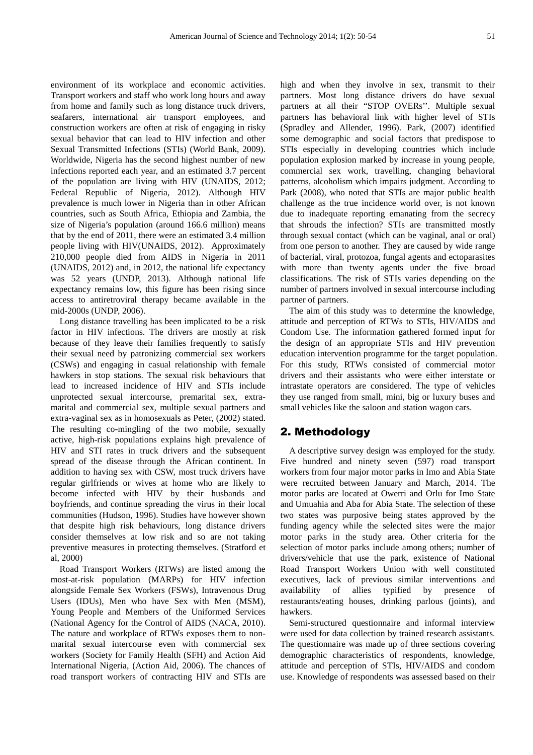environment of its workplace and economic activities. Transport workers and staff who work long hours and away from home and family such as long distance truck drivers, seafarers, international air transport employees, and construction workers are often at risk of engaging in risky sexual behavior that can lead to HIV infection and other Sexual Transmitted Infections (STIs) (World Bank, 2009). Worldwide, Nigeria has the second highest number of new infections reported each year, and an estimated 3.7 percent of the population are living with HIV (UNAIDS, 2012; Federal Republic of Nigeria, 2012). Although HIV prevalence is much lower in Nigeria than in other African countries, such as South Africa, Ethiopia and Zambia, the size of Nigeria's population (around 166.6 million) means that by the end of 2011, there were an estimated 3.4 million people living with HIV(UNAIDS, 2012). Approximately 210,000 people died from AIDS in Nigeria in 2011 (UNAIDS, 2012) and, in 2012, the national life expectancy was 52 years (UNDP, 2013). Although national life expectancy remains low, this figure has been rising since access to antiretroviral therapy became available in the mid-2000s (UNDP, 2006).

Long distance travelling has been implicated to be a risk factor in HIV infections. The drivers are mostly at risk because of they leave their families frequently to satisfy their sexual need by patronizing commercial sex workers (CSWs) and engaging in casual relationship with female hawkers in stop stations. The sexual risk behaviours that lead to increased incidence of HIV and STIs include unprotected sexual intercourse, premarital sex, extramarital and commercial sex, multiple sexual partners and extra-vaginal sex as in homosexuals as Peter, (2002) stated. The resulting co-mingling of the two mobile, sexually active, high-risk populations explains high prevalence of HIV and STI rates in truck drivers and the subsequent spread of the disease through the African continent. In addition to having sex with CSW, most truck drivers have regular girlfriends or wives at home who are likely to become infected with HIV by their husbands and boyfriends, and continue spreading the virus in their local communities (Hudson, 1996). Studies have however shown that despite high risk behaviours, long distance drivers consider themselves at low risk and so are not taking preventive measures in protecting themselves. (Stratford et al, 2000)

Road Transport Workers (RTWs) are listed among the most-at-risk population (MARPs) for HIV infection alongside Female Sex Workers (FSWs), Intravenous Drug Users (IDUs), Men who have Sex with Men (MSM), Young People and Members of the Uniformed Services (National Agency for the Control of AIDS (NACA, 2010). The nature and workplace of RTWs exposes them to nonmarital sexual intercourse even with commercial sex workers (Society for Family Health (SFH) and Action Aid International Nigeria, (Action Aid, 2006). The chances of road transport workers of contracting HIV and STIs are

high and when they involve in sex, transmit to their partners. Most long distance drivers do have sexual partners at all their "STOP OVERs''. Multiple sexual partners has behavioral link with higher level of STIs (Spradley and Allender, 1996). Park, (2007) identified some demographic and social factors that predispose to STIs especially in developing countries which include population explosion marked by increase in young people, commercial sex work, travelling, changing behavioral patterns, alcoholism which impairs judgment. According to Park (2008), who noted that STIs are major public health challenge as the true incidence world over, is not known due to inadequate reporting emanating from the secrecy that shrouds the infection? STIs are transmitted mostly through sexual contact (which can be vaginal, anal or oral) from one person to another. They are caused by wide range of bacterial, viral, protozoa, fungal agents and ectoparasites with more than twenty agents under the five broad classifications. The risk of STIs varies depending on the number of partners involved in sexual intercourse including partner of partners.

The aim of this study was to determine the knowledge, attitude and perception of RTWs to STIs, HIV/AIDS and Condom Use. The information gathered formed input for the design of an appropriate STIs and HIV prevention education intervention programme for the target population. For this study, RTWs consisted of commercial motor drivers and their assistants who were either interstate or intrastate operators are considered. The type of vehicles they use ranged from small, mini, big or luxury buses and small vehicles like the saloon and station wagon cars.

#### 2. Methodology

A descriptive survey design was employed for the study. Five hundred and ninety seven (597) road transport workers from four major motor parks in Imo and Abia State were recruited between January and March, 2014. The motor parks are located at Owerri and Orlu for Imo State and Umuahia and Aba for Abia State. The selection of these two states was purposive being states approved by the funding agency while the selected sites were the major motor parks in the study area. Other criteria for the selection of motor parks include among others; number of drivers/vehicle that use the park, existence of National Road Transport Workers Union with well constituted executives, lack of previous similar interventions and availability of allies typified by presence of restaurants/eating houses, drinking parlous (joints), and hawkers.

Semi-structured questionnaire and informal interview were used for data collection by trained research assistants. The questionnaire was made up of three sections covering demographic characteristics of respondents, knowledge, attitude and perception of STIs, HIV/AIDS and condom use. Knowledge of respondents was assessed based on their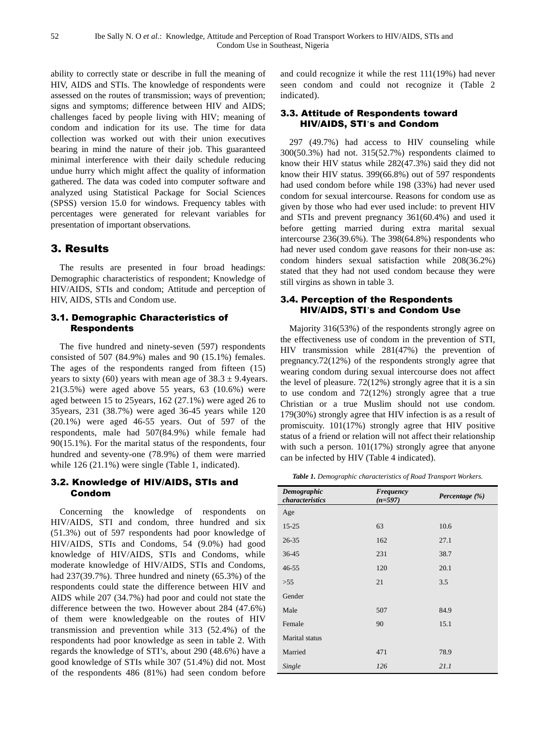ability to correctly state or describe in full the meaning of HIV, AIDS and STIs. The knowledge of respondents were assessed on the routes of transmission; ways of prevention; signs and symptoms; difference between HIV and AIDS; challenges faced by people living with HIV; meaning of condom and indication for its use. The time for data collection was worked out with their union executives bearing in mind the nature of their job. This guaranteed minimal interference with their daily schedule reducing undue hurry which might affect the quality of information gathered. The data was coded into computer software and analyzed using Statistical Package for Social Sciences (SPSS) version 15.0 for windows. Frequency tables with percentages were generated for relevant variables for presentation of important observations*.*

## 3. Results

The results are presented in four broad headings: Demographic characteristics of respondent; Knowledge of HIV/AIDS, STIs and condom; Attitude and perception of HIV, AIDS, STIs and Condom use.

#### 3.1. Demographic Characteristics of Respondents

The five hundred and ninety-seven (597) respondents consisted of 507 (84.9%) males and 90 (15.1%) females. The ages of the respondents ranged from fifteen (15) years to sixty (60) years with mean age of  $38.3 \pm 9.4$ years. 21(3.5%) were aged above 55 years, 63 (10.6%) were aged between 15 to 25years, 162 (27.1%) were aged 26 to 35years, 231 (38.7%) were aged 36-45 years while 120 (20.1%) were aged 46-55 years. Out of 597 of the respondents, male had 507(84.9%) while female had 90(15.1%). For the marital status of the respondents, four hundred and seventy-one (78.9%) of them were married while 126 (21.1%) were single (Table 1, indicated).

#### 3.2. Knowledge of HIV/AIDS, STIs and Condom

Concerning the knowledge of respondents on HIV/AIDS, STI and condom, three hundred and six (51.3%) out of 597 respondents had poor knowledge of HIV/AIDS, STIs and Condoms, 54 (9.0%) had good knowledge of HIV/AIDS, STIs and Condoms, while moderate knowledge of HIV/AIDS, STIs and Condoms, had 237(39.7%). Three hundred and ninety (65.3%) of the respondents could state the difference between HIV and AIDS while 207 (34.7%) had poor and could not state the difference between the two. However about 284 (47.6%) of them were knowledgeable on the routes of HIV transmission and prevention while 313 (52.4%) of the respondents had poor knowledge as seen in table 2. With regards the knowledge of STI's, about 290 (48.6%) have a good knowledge of STIs while 307 (51.4%) did not. Most of the respondents 486 (81%) had seen condom before

and could recognize it while the rest 111(19%) had never seen condom and could not recognize it (Table 2 indicated).

#### 3.3. Attitude of Respondents toward HIV/AIDS, STI's and Condom

297 (49.7%) had access to HIV counseling while 300(50.3%) had not. 315(52.7%) respondents claimed to know their HIV status while 282(47.3%) said they did not know their HIV status. 399(66.8%) out of 597 respondents had used condom before while 198 (33%) had never used condom for sexual intercourse. Reasons for condom use as given by those who had ever used include: to prevent HIV and STIs and prevent pregnancy 361(60.4%) and used it before getting married during extra marital sexual intercourse 236(39.6%). The 398(64.8%) respondents who had never used condom gave reasons for their non-use as: condom hinders sexual satisfaction while 208(36.2%) stated that they had not used condom because they were still virgins as shown in table 3.

#### 3.4. Perception of the Respondents HIV/AIDS, STI's and Condom Use

Majority 316(53%) of the respondents strongly agree on the effectiveness use of condom in the prevention of STI, HIV transmission while 281(47%) the prevention of pregnancy.72(12%) of the respondents strongly agree that wearing condom during sexual intercourse does not affect the level of pleasure. 72(12%) strongly agree that it is a sin to use condom and 72(12%) strongly agree that a true Christian or a true Muslim should not use condom. 179(30%) strongly agree that HIV infection is as a result of promiscuity. 101(17%) strongly agree that HIV positive status of a friend or relation will not affect their relationship with such a person.  $101(17%)$  strongly agree that anyone can be infected by HIV (Table 4 indicated).

*Table 1. Demographic characteristics of Road Transport Workers.* 

| Demographic<br>characteristics | <b>Frequency</b><br>$(n=597)$ | Percentage (%) |
|--------------------------------|-------------------------------|----------------|
| Age                            |                               |                |
| $15 - 25$                      | 63                            | 10.6           |
| 26-35                          | 162                           | 27.1           |
| 36-45                          | 231                           | 38.7           |
| $46 - 55$                      | 120                           | 20.1           |
| >55                            | 21                            | 3.5            |
| Gender                         |                               |                |
| Male                           | 507                           | 84.9           |
| Female                         | 90                            | 15.1           |
| Marital status                 |                               |                |
| Married                        | 471                           | 78.9           |
| Single                         | 126                           | 21.1           |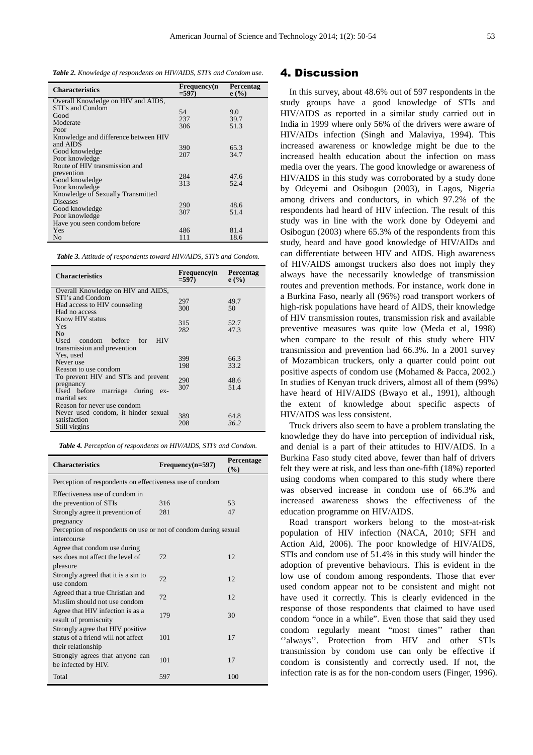*Table 2. Knowledge of respondents on HIV/AIDS, STI's and Condom use.* 

| <b>Characteristics</b>               | Frequency(n<br>$=597$ | Percentag<br>e(%) |
|--------------------------------------|-----------------------|-------------------|
| Overall Knowledge on HIV and AIDS,   |                       |                   |
| STI's and Condom                     | 54                    | 9.0               |
| Good                                 | 237                   | 39.7              |
| Moderate                             | 306                   | 51.3              |
| Poor                                 |                       |                   |
| Knowledge and difference between HIV |                       |                   |
| and AIDS                             |                       | 65.3              |
| Good knowledge                       | 390<br>207            | 34.7              |
| Poor knowledge                       |                       |                   |
| Route of HIV transmission and        |                       |                   |
| prevention                           | 284                   | 47.6              |
| Good knowledge                       | 313                   | 52.4              |
| Poor knowledge                       |                       |                   |
| Knowledge of Sexually Transmitted    |                       |                   |
| <b>Diseases</b>                      | 290                   | 48.6              |
| Good knowledge                       |                       |                   |
| Poor knowledge                       | 307                   | 51.4              |
| Have you seen condom before          |                       |                   |
| Yes                                  | 486                   | 81.4              |
| No                                   | 111                   | 18.6              |

| Table 3. Attitude of respondents toward HIV/AIDS, STI's and Condom. |  |  |  |  |  |
|---------------------------------------------------------------------|--|--|--|--|--|
|---------------------------------------------------------------------|--|--|--|--|--|

| <b>Characteristics</b>                   | <b>Frequency</b> (n<br>$= 597$ | <b>Percentag</b><br>e(%) |
|------------------------------------------|--------------------------------|--------------------------|
| Overall Knowledge on HIV and AIDS,       |                                |                          |
| STI's and Condom                         | 297                            | 49.7                     |
| Had access to HIV counseling             | 300                            | 50                       |
| Had no access                            |                                |                          |
| Know HIV status                          |                                |                          |
| Yes                                      | 315                            | 52.7                     |
| N <sub>0</sub>                           | 282                            | 47.3                     |
| Used<br>condom<br>before<br>– HIV<br>for |                                |                          |
| transmission and prevention              |                                |                          |
| Yes, used                                |                                |                          |
| Never use                                | 399                            | 66.3                     |
| Reason to use condom                     | 198                            | 33.2                     |
| To prevent HIV and STIs and prevent      |                                |                          |
| pregnancy                                | 290                            | 48.6                     |
| Used before marriage during<br>$ex-$     | 307                            | 51.4                     |
| marital sex                              |                                |                          |
| Reason for never use condom              |                                |                          |
| Never used condom, it hinder sexual      |                                |                          |
|                                          | 389                            | 64.8                     |
| satisfaction                             | 208                            | 36.2                     |
| Still virgins                            |                                |                          |

|  |  | Table 4. Perception of respondents on HIV/AIDS, STI's and Condom. |
|--|--|-------------------------------------------------------------------|
|  |  |                                                                   |

| <b>Characteristics</b>                                                 | Frequency(n=597) | Percentage<br>$($ %) |  |
|------------------------------------------------------------------------|------------------|----------------------|--|
| Perception of respondents on effectiveness use of condom               |                  |                      |  |
| Effectiveness use of condom in                                         |                  |                      |  |
| the prevention of STIs                                                 | 316              | 53                   |  |
| Strongly agree it prevention of                                        | 281              | 47                   |  |
| pregnancy                                                              |                  |                      |  |
| Perception of respondents on use or not of condom during sexual        |                  |                      |  |
| intercourse                                                            |                  |                      |  |
| Agree that condom use during                                           |                  |                      |  |
| sex does not affect the level of                                       | 72.              | 12.                  |  |
| pleasure                                                               |                  |                      |  |
| Strongly agreed that it is a sin to                                    | 72               | 12                   |  |
| use condom                                                             |                  |                      |  |
| Agreed that a true Christian and                                       | 72               | 12                   |  |
| Muslim should not use condom                                           |                  |                      |  |
| Agree that HIV infection is as a                                       | 179              | 30                   |  |
| result of promiscuity                                                  |                  |                      |  |
| Strongly agree that HIV positive<br>status of a friend will not affect | 101              | 17                   |  |
| their relationship                                                     |                  |                      |  |
| Strongly agrees that anyone can                                        |                  |                      |  |
| be infected by HIV.                                                    | 101              | 17                   |  |
|                                                                        |                  |                      |  |
| Total                                                                  | 597              | 100                  |  |

#### 4. Discussion

In this survey, about 48.6% out of 597 respondents in the study groups have a good knowledge of STIs and HIV/AIDS as reported in a similar study carried out in India in 1999 where only 56% of the drivers were aware of HIV/AIDs infection (Singh and Malaviya, 1994). This increased awareness or knowledge might be due to the increased health education about the infection on mass media over the years. The good knowledge or awareness of HIV/AIDS in this study was corroborated by a study done by Odeyemi and Osibogun (2003), in Lagos, Nigeria among drivers and conductors, in which 97.2% of the respondents had heard of HIV infection. The result of this study was in line with the work done by Odeyemi and Osibogun (2003) where 65.3% of the respondents from this study, heard and have good knowledge of HIV/AIDs and can differentiate between HIV and AIDS. High awareness of HIV/AIDS amongst truckers also does not imply they always have the necessarily knowledge of transmission routes and prevention methods. For instance, work done in a Burkina Faso, nearly all (96%) road transport workers of high-risk populations have heard of AIDS, their knowledge of HIV transmission routes, transmission risk and available preventive measures was quite low (Meda et al, 1998) when compare to the result of this study where HIV transmission and prevention had 66.3%. In a 2001 survey of Mozambican truckers, only a quarter could point out positive aspects of condom use (Mohamed & Pacca, 2002.) In studies of Kenyan truck drivers, almost all of them (99%) have heard of HIV/AIDS (Bwayo et al., 1991), although the extent of knowledge about specific aspects of HIV/AIDS was less consistent.

Truck drivers also seem to have a problem translating the knowledge they do have into perception of individual risk, and denial is a part of their attitudes to HIV/AIDS. In a Burkina Faso study cited above, fewer than half of drivers felt they were at risk, and less than one-fifth (18%) reported using condoms when compared to this study where there was observed increase in condom use of 66.3% and increased awareness shows the effectiveness of the education programme on HIV/AIDS.

Road transport workers belong to the most-at-risk population of HIV infection (NACA, 2010; SFH and Action Aid, 2006). The poor knowledge of HIV/AIDS, STIs and condom use of 51.4% in this study will hinder the adoption of preventive behaviours. This is evident in the low use of condom among respondents. Those that ever used condom appear not to be consistent and might not have used it correctly. This is clearly evidenced in the response of those respondents that claimed to have used condom "once in a while". Even those that said they used condom regularly meant "most times'' rather than ''always''. Protection from HIV and other STIs transmission by condom use can only be effective if condom is consistently and correctly used. If not, the infection rate is as for the non-condom users (Finger, 1996).